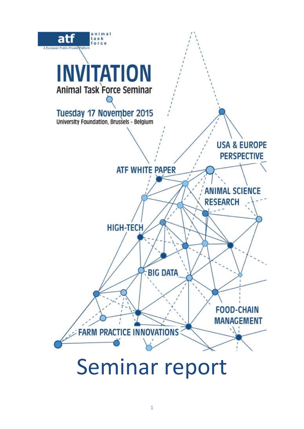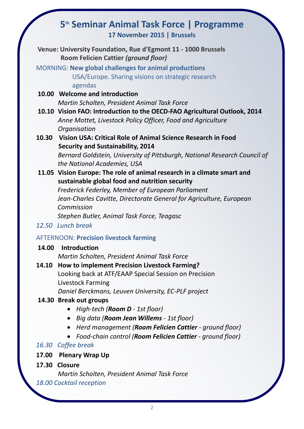# **5 th Seminar Animal Task Force | Programme**

**17 November 2015 | Brussels**

**Venue: University Foundation, Rue d'Egmont 11 - 1000 Brussels Room Felicien Cattier** *(ground floor)*

MORNING: **New global challenges for animal productions** USA/Europe. Sharing visions on strategic research agendas

**10.00 Welcome and introduction** *Martin Scholten, President Animal Task Force*

- **10.10 Vision FAO: Introduction to the OECD-FAO Agricultural Outlook, 2014** *Anne Mottet, Livestock Policy Officer, Food and Agriculture Organisation*
- **10.30 Vision USA: Critical Role of Animal Science Research in Food Security and Sustainability, 2014**

*Bernard Goldstein, University of Pittsburgh, National Research Council of the National Academies, USA* 

**11.05 Vision Europe: The role of animal research in a climate smart and sustainable global food and nutrition security**

*Frederick Federley, Member of European Parliament Jean-Charles Cavitte, Directorate General for Agriculture, European Commission Stephen Butler, Animal Task Force, Teagasc* 

*12.50 Lunch break*

# AFTERNOON: **Precision livestock farming**

## **14.00 Introduction** *Martin Scholten, President Animal Task Force*

**14.10 How to implement Precision Livestock Farming?**  Looking back at ATF/EAAP Special Session on Precision Livestock Farming

*Daniel Berckmans, Leuven University, EC-PLF project*

# **14.30 Break out groups**

- *High-tech (Room D - 1st floor)*
- *Big data (Room Jean Willems - 1st floor)*
- *Herd management (Room Felicien Cattier - ground floor)*
- *Food-chain control (Room Felicien Cattier - ground floor)*

# *16.30 Coffee break*

- **17.00 Plenary Wrap Up**
- **17.30 Closure**

*Martin Scholten, President Animal Task Force* 

# *18.00 Cocktail reception*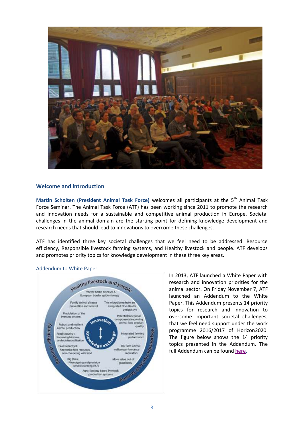

#### **Welcome and introduction**

Martin Scholten (President Animal Task Force) welcomes all participants at the 5<sup>th</sup> Animal Task Force Seminar. The Animal Task Force (ATF) has been working since 2011 to promote the research and innovation needs for a sustainable and competitive animal production in Europe. Societal challenges in the animal domain are the starting point for defining knowledge development and research needs that should lead to innovations to overcome these challenges.

ATF has identified three key societal challenges that we feel need to be addressed: Resource efficiency, Responsible livestock farming systems, and Healthy livestock and people. ATF develops and promotes priority topics for knowledge development in these three key areas.



#### Addendum to White Paper

In 2013, ATF launched a White Paper with research and innovation priorities for the animal sector. On Friday November 7, ATF launched an Addendum to the White Paper. This Addendum presents 14 priority topics for research and innovation to overcome important societal challenges, that we feel need support under the work programme 2016/2017 of Horizon2020. The figure below shows the 14 priority topics presented in the Addendum. The full Addendum can be found [here.](http://www.animaltaskforce.eu/Portals/0/ATF/documents%20for%20scare/ATF%20white%20paper%20Research%20priorities%20for%20a%20sustainable%20livestock%20sector%20in%20Europe.pdf)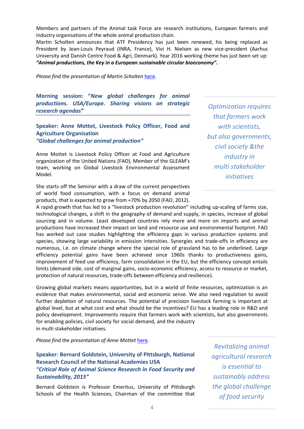Members and partners of the Animal task Force are research institutions, European farmers and industry organisations of the whole animal production chain.

Martin Scholten announces that ATF Presidency has just been renewed, his being replaced as President by Jean-Louis Peyraud (INRA, France), Vivi H. Nielsen as new vice-president (Aarhus University and Danish Centre Food & Agri, Denmark). Year 2016 working theme has just been set up: *"Animal productions, the Key in a European sustainable circular bioeconomy".*

*Please find the presentation of Martin Scholten* [here.](http://www.animaltaskforce.eu/Portals/0/ATF/Events/Seminar%202015/presentations/Seminar%20intro%20presentation%20Martin.pdf)

**Morning session: "***New global challenges for animal productions. USA/Europe. Sharing visions on strategic research agendas"*

#### **Speaker: Anne Mottet, Livestock Policy Officer, Food and Agriculture Organisation** *"Global challenges for animal production"*

Anne Mottet is Livestock Policy Officer at Food and Agriculture organization of the United Nations (FAO), Member of the GLEAM's team, working on Global Livestock Environmental Assessment Model.

She starts off the Seminar with a draw of the current perspectives of world food consumption, with a focus on demand animal products, that is expected to grow from +70% by 2050 (FAO, 2012).

*Optimization requires that farmers work with scientists, but also governments, civil society &the industry in multi stakeholder initiatives*

A rapid growth that has led to a "livestock production revolution" including up-scaling of farms size, technological changes, a shift in the geography of demand and supply, in species, increase of global sourcing and in volume. Least developed countries rely more and more on imports and animal productions have increased their impact on land and resource use and environmental footprint. FAO has worked out case studies highlighting the efficiency gaps in various production systems and species, showing large variability in emission intensities. Synergies and trade-offs in efficiency are numerous, i.e. on climate change where the special role of grassland has to be underlined. Large efficiency potential gains have been achieved since 1960s thanks to productiveness gains, improvement of feed use efficiency, farm consolidation in the EU, but the efficiency concept entails limits (demand side, cost of marginal gains, socio-economic efficiency, access to resource or market, protection of natural resources, trade-offs between efficiency and resilience).

Growing global markets means opportunities, but in a world of finite resources, optimization is an evidence that makes environmental, social and economic sense. We also need regulation to avoid further depletion of natural resources. The potential of precision livestock farming is important at global level, but at what cost and what should be the incentives? EU has a leading role in R&D and policy development. Improvements require that farmers work with scientists, but also governments for enabling policies, civil society for social demand, and the industry in multi stakeholder initiatives.

*Please find the presentation of Anne Mottet* [here.](http://www.animaltaskforce.eu/Portals/0/ATF/Events/Seminar%202015/presentations/ATF%20PLF%20seminar%202015%20Mottet.pdf)

**Speaker: Bernard Goldstein, University of Pittsburgh, National Research Council of the National Academies USA** *"Critical Role of Animal Science Research in Food Security and Sustainability, 2015"*

Bernard Goldstein is Professor Emeritus, University of Pittsburgh Schools of the Health Sciences, Chairman of the committee that

*Revitalizing animal agricultural research is essential to sustainably address the global challenge of food security*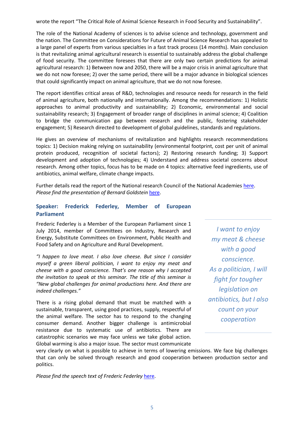wrote the report "The Critical Role of Animal Science Research in Food Security and Sustainability".

The role of the National Academy of sciences is to advise science and technology, government and the nation. The Committee on Considerations for Future of Animal Science Research has appealed to a large panel of experts from various specialties in a fast track process (14 months). Main conclusion is that revitalizing animal agricultural research is essential to sustainably address the global challenge of food security. The committee foresees that there are only two certain predictions for animal agricultural research: 1) Between now and 2050, there will be a major crisis in animal agriculture that we do not now foresee; 2) over the same period, there will be a major advance in biological sciences that could significantly impact on animal agriculture, that we do not now foresee.

The report identifies critical areas of R&D, technologies and resource needs for research in the field of animal agriculture, both nationally and internationally. Among the recommendations: 1) Holistic approaches to animal productivity and sustainability; 2) Economic, environmental and social sustainability research; 3) Engagement of broader range of disciplines in animal science; 4) Coalition to bridge the communication gap between research and the public, fostering stakeholder engagement; 5) Research directed to development of global guidelines, standards and regulations.

He gives an overview of mechanisms of revitalization and highlights research recommendations topics: 1) Decision making relying on sustainability (environmental footprint, cost per unit of animal protein produced, recognition of societal factors); 2) Restoring research funding; 3) Support development and adoption of technologies; 4) Understand and address societal concerns about research. Among other topics, focus has to be made on 4 topics: alternative feed ingredients, use of antibiotics, animal welfare, climate change impacts.

Further details read the report of the National research Council of the National Academies [here.](http://www.nap.edu/catalog/19000/critical-role-of-animal-science-research-in-food-security-and-sustainability) *Please find the presentation of Bernard Goldstein* [here.](http://www.animaltaskforce.eu/Portals/0/ATF/Events/Seminar%202015/presentations/Goldstein_Animal%20Science%20slides_BDG%20Brussels_.pdf)

#### **Speaker: Frederick Federley, Member of European Parliament**

Frederic Federley is a Member of the European Parliament since 1 July 2014, member of Committees on Industry, Research and Energy, Substitute Committees on Environment, Public Health and Food Safety and on Agriculture and Rural Development.

*"I happen to love meat. I also love cheese. But since I consider myself a green liberal politician, I want to enjoy my meat and cheese with a good conscience. That's one reason why I accepted the invitation to speak at this seminar. The title of this seminar is "New global challenges for animal productions here. And there are indeed challenges."*

There is a rising global demand that must be matched with a sustainable, transparent, using good practices, supply, respectful of the animal welfare. The sector has to respond to the changing consumer demand. Another bigger challenge is antimicrobial resistance due to systematic use of antibiotics. There are catastrophic scenarios we may face unless we take global action. Global warming is also a major issue. The sector must communicate

*I want to enjoy my meat & cheese with a good conscience. As a politician, I will fight for tougher legislation on antibiotics, but I also count on your cooperation*

very clearly on what is possible to achieve in terms of lowering emissions. We face big challenges that can only be solved through research and good cooperation between production sector and politics.

*Please find the speech text of Frederic Federley* [here.](http://www.animaltaskforce.eu/Portals/0/ATF/Events/Seminar%202015/presentations/SPEAKING%20POINTS%20FEDERLEY%20ANIMAL%20TASK%20FORCE%205th%20SEMINAR_2.pdf)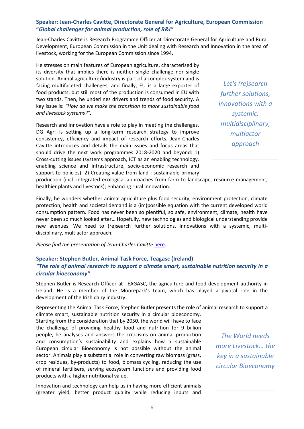### **Speaker: Jean-Charles Cavitte, Directorate General for Agriculture, European Commission "***Global challenges for animal production, role of R&I"*

Jean-Charles Cavitte is Research Programme Officer at Directorate General for Agriculture and Rural Development, European Commission in the Unit dealing with Research and Innovation in the area of livestock, working for the European Commission since 1994.

He stresses on main features of European agriculture, characterised by its diversity that implies there is neither single challenge nor single solution. Animal agriculture/industry is part of a complex system and is facing multifaceted challenges, and finally, EU is a large exporter of food products, but still most of the production is consumed in EU with two stands. Then, he underlines drivers and trends of food security. A key issue is: *"How do we make the transition to more sustainable food and livestock systems?".* 

Research and Innovation have a role to play in meeting the challenges. DG Agri is setting up a long-term research strategy to improve consistency, efficiency and impact of research efforts. Jean-Charles Cavitte introduces and details the main issues and focus areas that should drive the next work programmes 2018-2020 and beyond: 1) Cross-cutting issues (systems approach, ICT as an enabling technology, enabling science and infrastructure, socio-economic research and support to policies); 2) Creating value from land : sustainable primary

*Let's (re)search further solutions, innovations with a systemic, multidisciplinary, multiactor approach*

production (incl. integrated ecological approaches from farm to landscape, resource management, healthier plants and livestock); enhancing rural innovation.

Finally, he wonders whether animal agriculture plus food security, environment protection, climate protection, health and societal demand is a (im)possible equation with the current developed world consumption pattern. Food has never been so plentiful, so safe, environment, climate, health have never been so much looked after… Hopefully, new technologies and biological understanding provide new avenues. We need to (re)search further solutions, innovations with a systemic, multidisciplinary, multiactor approach.

*Please find the presentation of Jean-Charles Cavitte* [here.](http://www.animaltaskforce.eu/Portals/0/ATF/Events/Seminar%202015/presentations/Animal%20production%20challenges%20and%20RI_seminar17,11,15.pdf)

### **Speaker: Stephen Butler, Animal Task Force, Teagasc (Ireland)** *"The role of animal research to support a climate smart, sustainable nutrition security in a circular bioeconomy"*

Stephen Butler is Research Officer at TEAGASC, the agriculture and food development authority in Ireland. He is a member of the Moorepark's team, which has played a pivotal role in the development of the Irish dairy industry.

Representing the Animal Task Force, Stephen Butler presents the role of animal research to support a climate smart, sustainable nutrition security in a circular bioeconomy.

Starting from the consideration that by 2050, the world will have to face the challenge of providing healthy food and nutrition for 9 billion people, he analyses and answers the criticisms on animal production and consumption's sustainability and explains how a sustainable European circular Bioeconomy is not possible without the animal sector. Animals play a substantial role in converting raw biomass (grass, crop residues, by-products) to food, biomass cycling, reducing the use of mineral fertilisers, serving ecosystem functions and providing food products with a higher nutritional value.

Innovation and technology can help us in having more efficient animals (greater yield, better product quality while reducing inputs and

*The World needs more Livestock… the key in a sustainable circular Bioeconomy*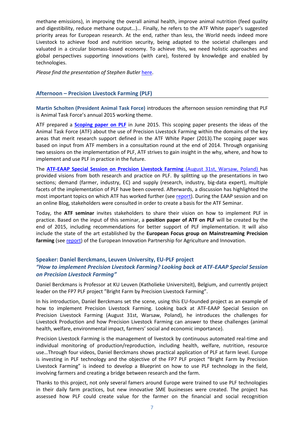methane emissions), in improving the overall animal health, improve animal nutrition (feed quality and digestibility, reduce methane output…)… Finally, he refers to the ATF White paper's suggested priority areas for European research. At the end, rather than less, the World needs indeed more Livestock to achieve food and nutrition security, being adapted to the societal challenges and valuated in a circular biomass-based economy. To achieve this, we need holistic approaches and global perspectives supporting innovations (with care), fostered by knowledge and enabled by technologies.

*Please find the presentation of Stephen Butler* [here.](http://www.animaltaskforce.eu/Portals/0/ATF/Events/Seminar%202015/presentations/Butler_LivestockClimate.pdf)

#### **Afternoon – Precision Livestock Farming (PLF)**

**Martin Scholten (President Animal Task Force)** introduces the afternoon session reminding that PLF is Animal Task Force's annual 2015 working theme.

ATF prepared a **[Scoping paper on PLF](http://www.animaltaskforce.eu/Portals/0/ATF/Downloads/ATF_scoping_paper_PLF_Sept2015.pdf)** in June 2015. This scoping paper presents the ideas of the Animal Task Force (ATF) about the use of Precision Livestock Farming within the domains of the key areas that merit research support defined in the ATF White Paper (2013).The scoping paper was based on input from ATF members in a consultation round at the end of 2014. Through organising two sessions on the implementation of PLF, ATF strives to gain insight in the why, where, and how to implement and use PLF in practice in the future.

The **[ATF-EAAP Special Session on Precision Livestock Farming](http://www.animaltaskforce.eu/Newsandevents/Events/ATFEAAPSpecialSession2015HowtoimplementP.aspx)** (August 31st, Warsaw, Poland) has provided visions from both research and practice on PLF. By splitting up the presentations in two sections; demand (farmer, industry, EC) and supply (research, industry, big-data expert), multiple facets of the implementation of PLF have been covered. Afterwards, a discussion has highlighted the most important topics on which ATF has worked further (see [report\)](http://www.animaltaskforce.eu/Portals/0/ATF/Events/EAAP%202015/REPORT_ATF-EAAP%20Special%20Session%20on%20PLF_2015.pdf). During the EAAP session and on an online Blog, stakeholders were consulted in order to create a basis for the ATF Seminar.

Today, the **ATF seminar** invites stakeholders to share their vision on how to implement PLF in practice. Based on the input of this seminar, a **position paper of ATF on PLF** will be created by the end of 2015, including recommendations for better support of PLF implementation. It will also include the state of the art established by the **European Focus group on Mainstreaming Precision**  farming (see [report\)](http://ec.europa.eu/eip/agriculture/en/content/mainstreaming-precision-farming) of the European Innovation Partnership for Agriculture and Innovation.

#### **Speaker: Daniel Berckmans, Leuven University, EU-PLF project** *"How to implement Precision Livestock Farming? Looking back at ATF-EAAP Special Session on Precision Livestock Farming"*

Daniel Berckmans is Professor at KU Leuven (Katholieke Universiteit), Belgium, and currently project leader on the FP7 PLF project "Bright Farm by Precision Livestock Farming".

In his introduction, Daniel Berckmans set the scene, using this EU-founded project as an example of how to implement Precision Livestock Farming. Looking back at ATF-EAAP Special Session on Precision Livestock Farming (August 31st, Warsaw, Poland), he introduces the challenges for Livestock Production and how Precision Livestock Farming can answer to these challenges (animal health, welfare, environmental impact, farmers' social and economic importance).

Precision Livestock Farming is the management of livestock by continuous automated real-time and individual monitoring of production/reproduction, including health, welfare, nutrition, resource use…Through four videos, Daniel Berckmans shows practical application of PLF at farm level. Europe is investing in PLF technology and the objective of the FP7 PLF project "Bright Farm by Precision Livestock Farming" is indeed to develop a Blueprint on how to use PLF technology in the field, involving farmers and creating a bridge between research and the farm.

Thanks to this project, not only several famers around Europe were trained to use PLF technologies in their daily farm practices, but new innovative SME businesses were created. The project has assessed how PLF could create value for the farmer on the financial and social recognition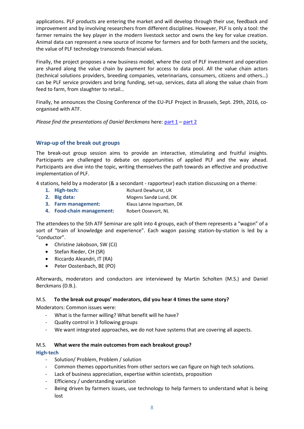applications. PLF products are entering the market and will develop through their use, feedback and improvement and by involving researchers from different disciplines. However, PLF is only a tool: the farmer remains the key player in the modern livestock sector and owns the key for value creation. Animal data can represent a new source of income for farmers and for both farmers and the society, the value of PLF technology transcends financial values.

Finally, the project proposes a new business model, where the cost of PLF investment and operation are shared along the value chain by payment for access to data pool. All the value chain actors (technical solutions providers, breeding companies, veterinarians, consumers, citizens and others…) can be PLF service providers and bring funding, set-up, services, data all along the value chain from feed to farm, from slaughter to retail…

Finally, he announces the Closing Conference of the EU-PLF Project in Brussels, Sept. 29th, 2016, coorganised with ATF.

*Please find the presentations of Daniel Berckmans* here: [part 1](http://www.animaltaskforce.eu/Portals/0/ATF/Events/Seminar%202015/presentations/ATF_Brussels_DanielBerckmans_part%201.pdf) – [part 2](http://www.animaltaskforce.eu/Portals/0/ATF/Events/Seminar%202015/presentations/ATF_Brussels_DanielBerckmans_part%202.pdf)

#### **Wrap-up of the break out groups**

The break-out group session aims to provide an interactive, stimulating and fruitful insights. Participants are challenged to debate on opportunities of applied PLF and the way ahead. Participants are dive into the topic, writing themselves the path towards an effective and productive implementation of PLF.

4 stations, held by a moderator (& a secondant - rapporteur) each station discussing on a theme:

- **1. High-tech:** Richard Dewhurst, UK
- **2. Big data:** Mogens Sandø Lund, DK
- **3. Farm management:** Klaus Lønne Ingvartsen, DK
- **4. Food-chain management:** Robert Oosevort, NL

The attendees to the 5th ATF Seminar are split into 4 groups, each of them represents a "wagon" of a sort of "train of knowledge and experience". Each wagon passing station-by-station is led by a "conductor".

- Christine Jakobson, SW (CJ)
- Stefan Rieder, CH (SR)
- Riccardo Aleandri, IT (RA)
- Peter Oostenbach, BE (PO)

Afterwards, moderators and conductors are interviewed by Martin Scholten (M.S.) and Daniel Berckmans (D.B.).

#### M.S. **To the break out groups' moderators, did you hear 4 times the same story?**

Moderators: Common issues were:

- What is the farmer willing? What benefit will he have?
- Quality control in 3 following groups
- We want integrated approaches, we do not have systems that are covering all aspects.

#### M.S. **What were the main outcomes from each breakout group?**

#### **High-tech**

- Solution/ Problem, Problem / solution
- Common themes opportunities from other sectors we can figure on high tech solutions.
- Lack of business appreciation, expertise within scientists, proposition
- Efficiency / understanding variation
- Being driven by farmers issues, use technology to help farmers to understand what is being lost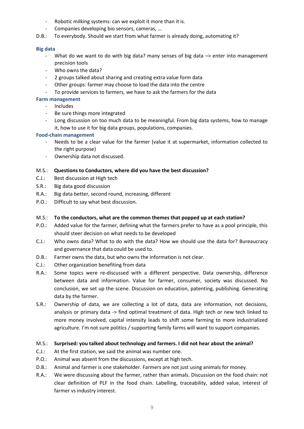- Robotic milking systems: can we exploit it more than it is.
- Companies developing bio sensors, cameras, …
- D.B.: To everybody. Should we start from what farmer is already doing, automating it?

#### **Big data**

- What do we want to do with big data? many senses of big data  $\rightarrow$  enter into management precision tools
- Who owns the data?
- 2 groups talked about sharing and creating extra value form data
- Other groups: farmer may choose to load the data into the centre
- To provide services to farmers, we have to ask the farmers for the data

#### **Farm management**

- Includes
- Be sure things more integrated
- Long discussion on too much data to be meaningful. From big data systems, how to manage it, how to use it for big data groups, populations, companies.

#### **Food-chain management**

- Needs to be a clear value for the farmer (value it at supermarket, information collected to the right purpose)
- Ownership data not discussed.

#### M.S.: **Questions to Conductors, where did you have the best discussion?**

- C.J.: Best discussion at High tech
- S.R.: Big data good discussion
- R.A.: Big data better, second round, increasing, different
- P.O.: Difficult to say what best discussion.

#### M.S.: **To the conductors, what are the common themes that popped up at each station?**

- P.O.: Added value for the farmer, defining what the farmers prefer to have as a pool principle, this should steer decision on what needs to be developed
- C.J.: Who owns data? What to do with the data? How we should use the data for? Bureaucracy and governance that data could be used to.
- D.B.: Farmer owns the data, but who owns the information is not clear.
- C.J.: Other organization benefiting from data
- R.A.: Some topics were re-discussed with a different perspective. Data ownership, difference between data and information. Value for farmer, consumer, society was discussed. No conclusion, we set up the scene. Discussion on education, patenting, publishing. Generating data by the farmer.
- S.R.: Ownership of data, we are collecting a lot of data, data are information, not decisions, analysis or primary data -> find optimal treatment of data. High tech or new tech linked to more money involved, capital intensity leads to shift some farming to more industrialized agriculture. I'm not sure politics / supporting family farms will want to support companies.

#### M.S.: **Surprised: you talked about technology and farmers. I did not hear about the animal?**

- C.J.: At the first station, we said the animal was number one.
- P.O.: Animal was absent from the discussions, except at high tech.
- D.B.: Animal and farmer is one stakeholder. Farmers are not just using animals for money.
- R.A.: We were discussing about the farmer, rather than animals. Discussion on the food chain: not clear definition of PLF in the food chain. Labelling, traceability, added value, interest of farmer vs industry interest.